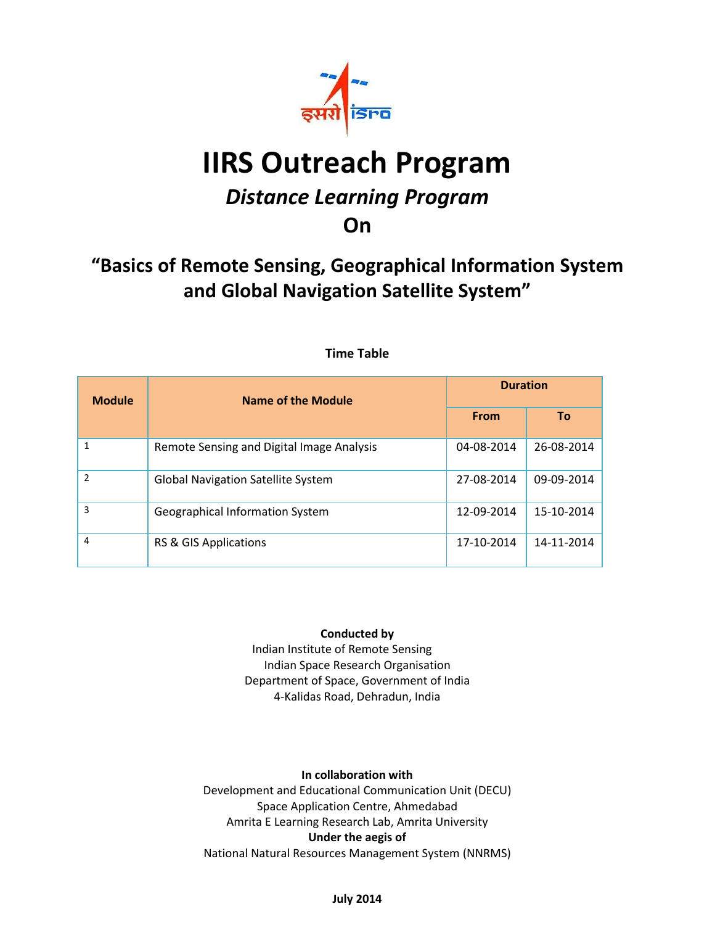

# **IIRS Outreach Program**

# *Distance Learning Program*

# **On**

# **"Basics of Remote Sensing, Geographical Information System and Global Navigation Satellite System"**

| <b>Module</b>  | Name of the Module                        | <b>Duration</b> |            |
|----------------|-------------------------------------------|-----------------|------------|
|                |                                           | <b>From</b>     | To         |
| 1              | Remote Sensing and Digital Image Analysis | 04-08-2014      | 26-08-2014 |
| $\mathfrak{p}$ | <b>Global Navigation Satellite System</b> | 27-08-2014      | 09-09-2014 |
| 3              | <b>Geographical Information System</b>    | 12-09-2014      | 15-10-2014 |
| 4              | RS & GIS Applications                     | 17-10-2014      | 14-11-2014 |

## **Time Table**

### **Conducted by**

 Indian Institute of Remote Sensing Indian Space Research Organisation Department of Space, Government of India 4-Kalidas Road, Dehradun, India

### **In collaboration with**

Development and Educational Communication Unit (DECU) Space Application Centre, Ahmedabad Amrita E Learning Research Lab, Amrita University **Under the aegis of**  National Natural Resources Management System (NNRMS)

### **July 2014**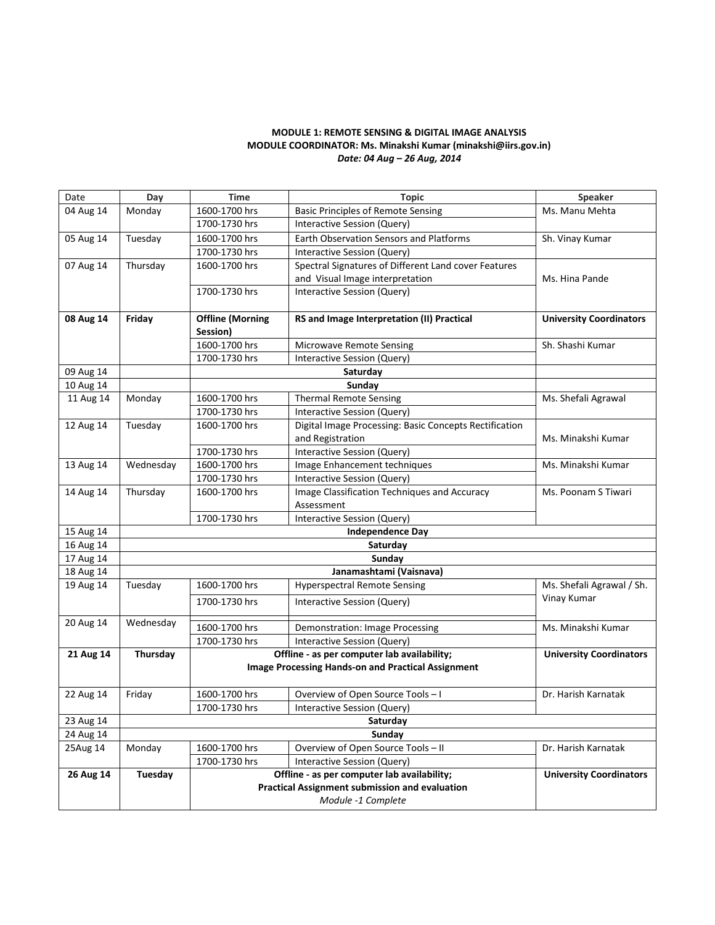#### **MODULE 1: REMOTE SENSING & DIGITAL IMAGE ANALYSIS MODULE COORDINATOR: Ms. Minakshi Kumar (minakshi@iirs.gov.in)** *Date: 04 Aug – 26 Aug, 2014*

| Date                   | Day                                                                         | <b>Time</b>                                                | <b>Topic</b>                                                   | Speaker                        |  |
|------------------------|-----------------------------------------------------------------------------|------------------------------------------------------------|----------------------------------------------------------------|--------------------------------|--|
| 04 Aug 14              | Monday                                                                      | 1600-1700 hrs<br><b>Basic Principles of Remote Sensing</b> |                                                                | Ms. Manu Mehta                 |  |
|                        |                                                                             | 1700-1730 hrs                                              | Interactive Session (Query)                                    |                                |  |
| 05 Aug 14              | Tuesday                                                                     | 1600-1700 hrs                                              | Earth Observation Sensors and Platforms                        | Sh. Vinay Kumar                |  |
|                        |                                                                             | 1700-1730 hrs                                              | Interactive Session (Query)                                    |                                |  |
| 07 Aug 14              | Thursday                                                                    | 1600-1700 hrs                                              | Spectral Signatures of Different Land cover Features           |                                |  |
|                        |                                                                             |                                                            | and Visual Image interpretation                                | Ms. Hina Pande                 |  |
|                        |                                                                             | 1700-1730 hrs                                              | Interactive Session (Query)                                    |                                |  |
|                        |                                                                             |                                                            |                                                                |                                |  |
| 08 Aug 14              | Friday                                                                      | <b>Offline (Morning</b>                                    | RS and Image Interpretation (II) Practical                     | <b>University Coordinators</b> |  |
|                        |                                                                             | Session)                                                   |                                                                |                                |  |
|                        |                                                                             | 1600-1700 hrs                                              | <b>Microwave Remote Sensing</b>                                | Sh. Shashi Kumar               |  |
|                        |                                                                             | 1700-1730 hrs                                              | Interactive Session (Query)                                    |                                |  |
| 09 Aug 14              |                                                                             | Saturday                                                   |                                                                |                                |  |
| 10 Aug 14              |                                                                             |                                                            | Sunday                                                         |                                |  |
| 11 Aug 14              | Monday                                                                      | 1600-1700 hrs                                              | <b>Thermal Remote Sensing</b>                                  | Ms. Shefali Agrawal            |  |
|                        |                                                                             | 1700-1730 hrs                                              | Interactive Session (Query)                                    |                                |  |
| 12 Aug 14              | Tuesday                                                                     | 1600-1700 hrs                                              | Digital Image Processing: Basic Concepts Rectification         |                                |  |
|                        |                                                                             |                                                            | and Registration                                               | Ms. Minakshi Kumar             |  |
|                        |                                                                             | 1700-1730 hrs                                              | <b>Interactive Session (Query)</b>                             |                                |  |
| 13 Aug 14              | Wednesday                                                                   | 1600-1700 hrs                                              | Image Enhancement techniques                                   | Ms. Minakshi Kumar             |  |
|                        |                                                                             | 1700-1730 hrs                                              | Interactive Session (Query)                                    |                                |  |
| 14 Aug 14              | Thursday                                                                    | 1600-1700 hrs                                              | Image Classification Techniques and Accuracy                   | Ms. Poonam S Tiwari            |  |
|                        |                                                                             |                                                            | Assessment                                                     |                                |  |
|                        |                                                                             | 1700-1730 hrs                                              | Interactive Session (Query)                                    |                                |  |
| 15 Aug 14<br>16 Aug 14 |                                                                             |                                                            | <b>Independence Day</b><br>Saturday                            |                                |  |
| 17 Aug 14              |                                                                             |                                                            |                                                                |                                |  |
| 18 Aug 14              |                                                                             | Sunday<br>Janamashtami (Vaisnava)                          |                                                                |                                |  |
| 19 Aug 14              | Tuesday                                                                     | 1600-1700 hrs                                              | <b>Hyperspectral Remote Sensing</b>                            | Ms. Shefali Agrawal / Sh.      |  |
|                        |                                                                             |                                                            |                                                                | Vinay Kumar                    |  |
|                        |                                                                             | 1700-1730 hrs                                              | <b>Interactive Session (Query)</b>                             |                                |  |
| 20 Aug 14              | Wednesday                                                                   | 1600-1700 hrs                                              |                                                                | Ms. Minakshi Kumar             |  |
|                        |                                                                             | 1700-1730 hrs                                              | Demonstration: Image Processing<br>Interactive Session (Query) |                                |  |
| 21 Aug 14              | Thursday                                                                    |                                                            | Offline - as per computer lab availability;                    | <b>University Coordinators</b> |  |
|                        |                                                                             |                                                            | <b>Image Processing Hands-on and Practical Assignment</b>      |                                |  |
|                        |                                                                             |                                                            |                                                                |                                |  |
| 22 Aug 14              | Friday                                                                      | 1600-1700 hrs                                              | Overview of Open Source Tools - I                              | Dr. Harish Karnatak            |  |
|                        |                                                                             | 1700-1730 hrs                                              | Interactive Session (Query)                                    |                                |  |
| 23 Aug 14              |                                                                             |                                                            | Saturday                                                       |                                |  |
| 24 Aug 14              | Sunday                                                                      |                                                            |                                                                |                                |  |
| 25Aug 14               | Monday                                                                      | 1600-1700 hrs                                              | Overview of Open Source Tools - II                             | Dr. Harish Karnatak            |  |
|                        |                                                                             | 1700-1730 hrs                                              | Interactive Session (Query)                                    |                                |  |
| 26 Aug 14              | Tuesday                                                                     |                                                            | Offline - as per computer lab availability;                    | <b>University Coordinators</b> |  |
|                        | <b>Practical Assignment submission and evaluation</b><br>Module -1 Complete |                                                            |                                                                |                                |  |
|                        |                                                                             |                                                            |                                                                |                                |  |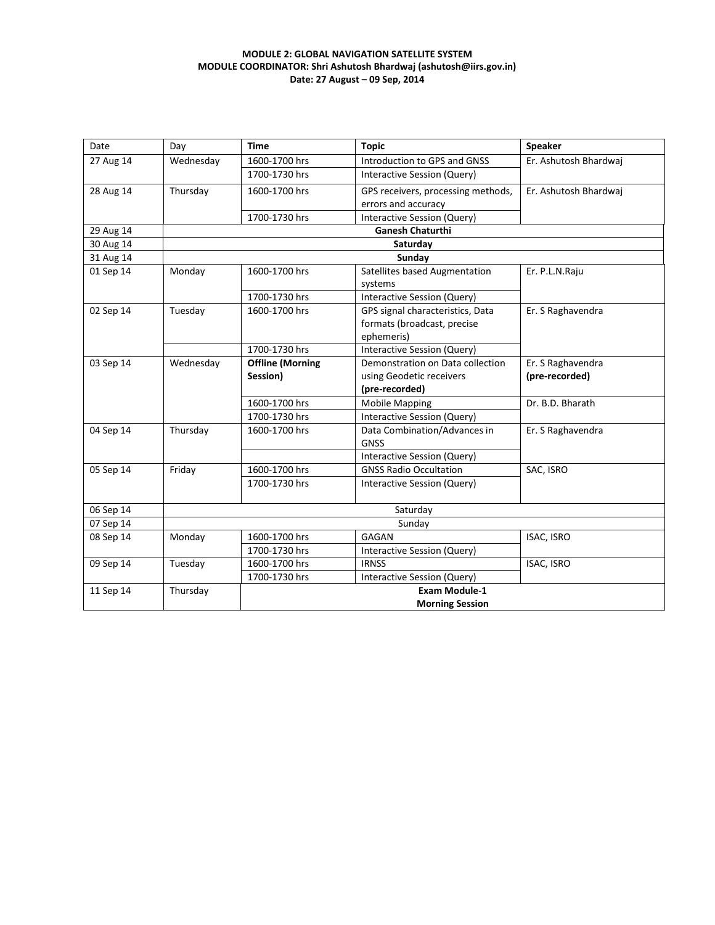#### **MODULE 2: GLOBAL NAVIGATION SATELLITE SYSTEM MODULE COORDINATOR: Shri Ashutosh Bhardwaj (ashutosh@iirs.gov.in) Date: 27 August – 09 Sep, 2014**

| Date      | Day       | <b>Time</b>             | <b>Topic</b>                       | <b>Speaker</b>        |
|-----------|-----------|-------------------------|------------------------------------|-----------------------|
| 27 Aug 14 | Wednesday | 1600-1700 hrs           | Introduction to GPS and GNSS       | Er. Ashutosh Bhardwai |
|           |           | 1700-1730 hrs           | Interactive Session (Query)        |                       |
| 28 Aug 14 | Thursday  | 1600-1700 hrs           | GPS receivers, processing methods, | Er. Ashutosh Bhardwaj |
|           |           |                         | errors and accuracy                |                       |
|           |           | 1700-1730 hrs           | Interactive Session (Query)        |                       |
| 29 Aug 14 |           |                         | <b>Ganesh Chaturthi</b>            |                       |
| 30 Aug 14 |           |                         | Saturday                           |                       |
| 31 Aug 14 |           |                         | Sunday                             |                       |
| 01 Sep 14 | Monday    | 1600-1700 hrs           | Satellites based Augmentation      | Er. P.L.N.Raju        |
|           |           |                         | systems                            |                       |
|           |           | 1700-1730 hrs           | Interactive Session (Query)        |                       |
| 02 Sep 14 | Tuesday   | 1600-1700 hrs           | GPS signal characteristics, Data   | Er. S Raghavendra     |
|           |           |                         | formats (broadcast, precise        |                       |
|           |           |                         | ephemeris)                         |                       |
|           |           | 1700-1730 hrs           | <b>Interactive Session (Query)</b> |                       |
| 03 Sep 14 | Wednesday | <b>Offline (Morning</b> | Demonstration on Data collection   | Er. S Raghavendra     |
|           |           | Session)                | using Geodetic receivers           | (pre-recorded)        |
|           |           |                         | (pre-recorded)                     |                       |
|           |           | 1600-1700 hrs           | <b>Mobile Mapping</b>              | Dr. B.D. Bharath      |
|           |           | 1700-1730 hrs           | Interactive Session (Query)        |                       |
| 04 Sep 14 | Thursday  | 1600-1700 hrs           | Data Combination/Advances in       | Er. S Raghavendra     |
|           |           |                         | <b>GNSS</b>                        |                       |
|           |           |                         | Interactive Session (Query)        |                       |
| 05 Sep 14 | Friday    | 1600-1700 hrs           | <b>GNSS Radio Occultation</b>      | SAC, ISRO             |
|           |           | 1700-1730 hrs           | Interactive Session (Query)        |                       |
|           |           |                         |                                    |                       |
| 06 Sep 14 | Saturday  |                         |                                    |                       |
| 07 Sep 14 | Sunday    |                         |                                    |                       |
| 08 Sep 14 | Monday    | 1600-1700 hrs           | <b>GAGAN</b>                       | <b>ISAC, ISRO</b>     |
|           |           | 1700-1730 hrs           | Interactive Session (Query)        |                       |
| 09 Sep 14 | Tuesday   | 1600-1700 hrs           | <b>IRNSS</b>                       | ISAC, ISRO            |
|           |           | 1700-1730 hrs           | Interactive Session (Query)        |                       |
| 11 Sep 14 | Thursday  |                         | <b>Exam Module-1</b>               |                       |
|           |           |                         | <b>Morning Session</b>             |                       |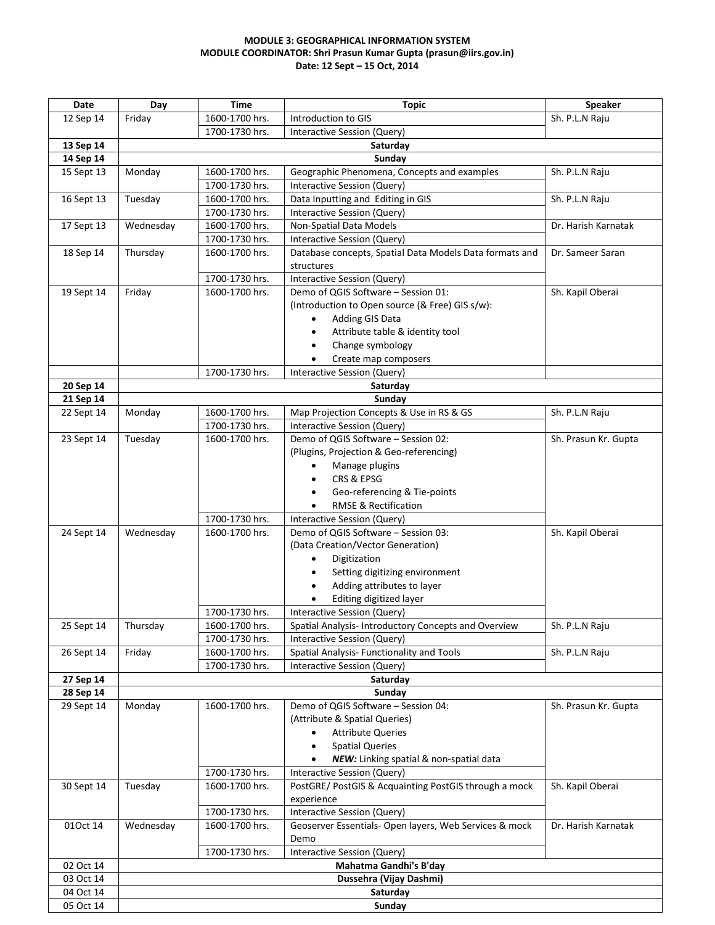#### **MODULE 3: GEOGRAPHICAL INFORMATION SYSTEM MODULE COORDINATOR: Shri Prasun Kumar Gupta (prasun@iirs.gov.in) Date: 12 Sept – 15 Oct, 2014**

| Date                    | Day                     | <b>Time</b>                      | <b>Topic</b>                                                       | Speaker              |  |
|-------------------------|-------------------------|----------------------------------|--------------------------------------------------------------------|----------------------|--|
| 12 Sep 14               | Friday                  | 1600-1700 hrs.                   | Introduction to GIS                                                | Sh. P.L.N Raju       |  |
|                         |                         | 1700-1730 hrs.                   | Interactive Session (Query)                                        |                      |  |
| 13 Sep 14               |                         |                                  | Saturday                                                           |                      |  |
| 14 Sep 14               | Sunday                  |                                  |                                                                    |                      |  |
| 15 Sept 13              | Monday                  | 1600-1700 hrs.                   | Geographic Phenomena, Concepts and examples                        | Sh. P.L.N Raju       |  |
|                         |                         | 1700-1730 hrs.                   | Interactive Session (Query)                                        |                      |  |
| 16 Sept 13              | Tuesday                 | 1600-1700 hrs.                   | Data Inputting and Editing in GIS                                  | Sh. P.L.N Raju       |  |
|                         |                         | 1700-1730 hrs.                   | <b>Interactive Session (Query)</b>                                 |                      |  |
| 17 Sept 13              | Wednesday               | 1600-1700 hrs.                   | Non-Spatial Data Models                                            | Dr. Harish Karnatak  |  |
|                         |                         | 1700-1730 hrs.                   | Interactive Session (Query)                                        |                      |  |
| 18 Sep 14               | Thursday                | 1600-1700 hrs.                   | Database concepts, Spatial Data Models Data formats and            | Dr. Sameer Saran     |  |
|                         |                         |                                  | structures                                                         |                      |  |
|                         |                         | 1700-1730 hrs.                   | Interactive Session (Query)                                        |                      |  |
| 19 Sept 14              | Friday                  | 1600-1700 hrs.                   | Demo of QGIS Software - Session 01:                                | Sh. Kapil Oberai     |  |
|                         |                         |                                  | (Introduction to Open source (& Free) GIS s/w):                    |                      |  |
|                         |                         |                                  | Adding GIS Data<br>$\bullet$                                       |                      |  |
|                         |                         |                                  | Attribute table & identity tool<br>$\bullet$                       |                      |  |
|                         |                         |                                  | Change symbology                                                   |                      |  |
|                         |                         |                                  | Create map composers                                               |                      |  |
|                         |                         | 1700-1730 hrs.                   | Interactive Session (Query)                                        |                      |  |
| 20 Sep 14               |                         |                                  | Saturday                                                           |                      |  |
| 21 Sep 14               |                         |                                  | Sunday                                                             |                      |  |
| 22 Sept 14              | Monday                  | 1600-1700 hrs.                   | Map Projection Concepts & Use in RS & GS                           | Sh. P.L.N Raju       |  |
|                         |                         | 1700-1730 hrs.                   | Interactive Session (Query)                                        |                      |  |
| 23 Sept 14              | Tuesday                 | 1600-1700 hrs.                   | Demo of QGIS Software - Session 02:                                | Sh. Prasun Kr. Gupta |  |
|                         |                         |                                  | (Plugins, Projection & Geo-referencing)                            |                      |  |
|                         |                         |                                  | Manage plugins<br>$\bullet$                                        |                      |  |
|                         |                         |                                  | CRS & EPSG                                                         |                      |  |
|                         |                         |                                  | Geo-referencing & Tie-points                                       |                      |  |
|                         |                         |                                  | <b>RMSE &amp; Rectification</b>                                    |                      |  |
|                         |                         | 1700-1730 hrs.                   |                                                                    |                      |  |
|                         |                         | 1600-1700 hrs.                   | Interactive Session (Query)<br>Demo of QGIS Software - Session 03: |                      |  |
| 24 Sept 14              | Wednesday               |                                  | (Data Creation/Vector Generation)                                  | Sh. Kapil Oberai     |  |
|                         |                         |                                  | Digitization<br>$\bullet$                                          |                      |  |
|                         |                         |                                  | Setting digitizing environment                                     |                      |  |
|                         |                         |                                  | $\bullet$<br>$\bullet$                                             |                      |  |
|                         |                         |                                  | Adding attributes to layer                                         |                      |  |
|                         |                         |                                  | Editing digitized layer                                            |                      |  |
|                         |                         | 1700-1730 hrs.                   | <b>Interactive Session (Query)</b>                                 |                      |  |
| 25 Sept 14              | Thursday                | 1600-1700 hrs.                   | Spatial Analysis- Introductory Concepts and Overview               | Sh. P.L.N Raju       |  |
|                         |                         | 1700-1730 hrs.                   | Interactive Session (Query)                                        |                      |  |
| 26 Sept 14              | Friday                  | 1600-1700 hrs.<br>1700-1730 hrs. | Spatial Analysis- Functionality and Tools                          | Sh. P.L.N Raju       |  |
| 27 Sep 14               |                         |                                  | <b>Interactive Session (Query)</b><br>Saturday                     |                      |  |
|                         |                         |                                  | Sunday                                                             |                      |  |
| 28 Sep 14<br>29 Sept 14 | Monday                  | 1600-1700 hrs.                   | Demo of QGIS Software - Session 04:                                | Sh. Prasun Kr. Gupta |  |
|                         |                         |                                  | (Attribute & Spatial Queries)                                      |                      |  |
|                         |                         |                                  | <b>Attribute Queries</b><br>$\bullet$                              |                      |  |
|                         |                         |                                  | <b>Spatial Queries</b><br>$\bullet$                                |                      |  |
|                         |                         |                                  |                                                                    |                      |  |
|                         |                         |                                  | NEW: Linking spatial & non-spatial data<br>$\bullet$               |                      |  |
|                         |                         | 1700-1730 hrs.                   | Interactive Session (Query)                                        |                      |  |
| 30 Sept 14              | Tuesday                 | 1600-1700 hrs.                   | PostGRE/ PostGIS & Acquainting PostGIS through a mock              | Sh. Kapil Oberai     |  |
|                         |                         |                                  | experience                                                         |                      |  |
|                         |                         | 1700-1730 hrs.                   | <b>Interactive Session (Query)</b>                                 |                      |  |
| 010ct 14                | Wednesday               | 1600-1700 hrs.                   | Geoserver Essentials- Open layers, Web Services & mock             | Dr. Harish Karnatak  |  |
|                         |                         |                                  | Demo                                                               |                      |  |
|                         |                         | 1700-1730 hrs.                   | <b>Interactive Session (Query)</b>                                 |                      |  |
| 02 Oct 14               | Mahatma Gandhi's B'day  |                                  |                                                                    |                      |  |
| 03 Oct 14               | Dussehra (Vijay Dashmi) |                                  |                                                                    |                      |  |
| 04 Oct 14               | Saturday                |                                  |                                                                    |                      |  |
| 05 Oct 14               | Sunday                  |                                  |                                                                    |                      |  |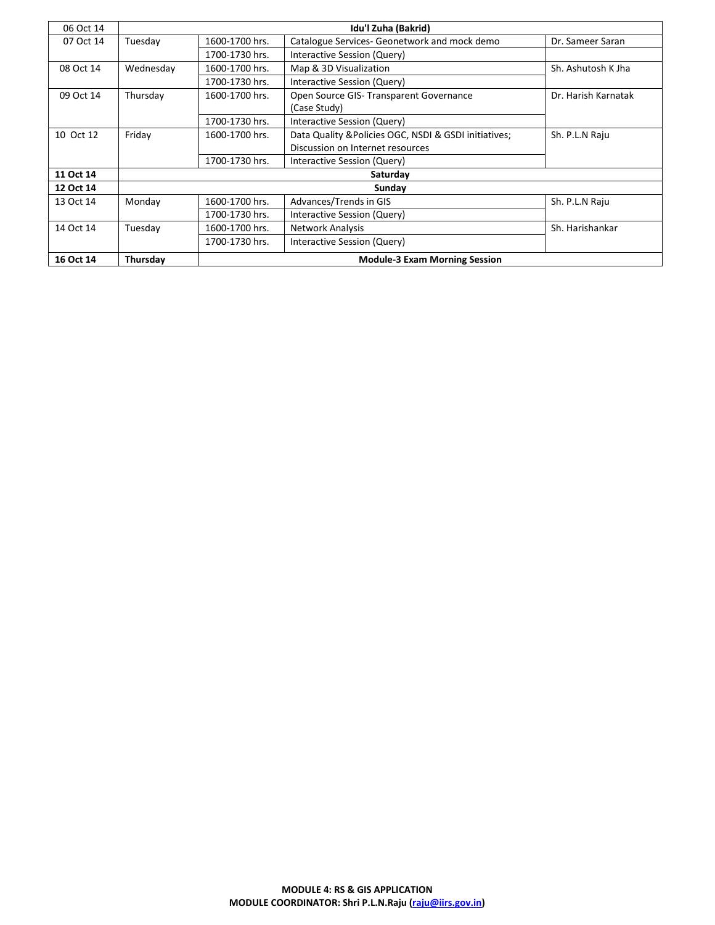| 06 Oct 14 | Idu'l Zuha (Bakrid) |                                      |                                                       |                     |  |
|-----------|---------------------|--------------------------------------|-------------------------------------------------------|---------------------|--|
| 07 Oct 14 | Tuesday             | 1600-1700 hrs.                       | Catalogue Services- Geonetwork and mock demo          | Dr. Sameer Saran    |  |
|           |                     | 1700-1730 hrs.                       | Interactive Session (Query)                           |                     |  |
| 08 Oct 14 | Wednesday           | 1600-1700 hrs.                       | Map & 3D Visualization                                | Sh. Ashutosh K Jha  |  |
|           |                     | 1700-1730 hrs.                       | Interactive Session (Query)                           |                     |  |
| 09 Oct 14 | Thursday            | 1600-1700 hrs.                       | Open Source GIS- Transparent Governance               | Dr. Harish Karnatak |  |
|           |                     |                                      | (Case Study)                                          |                     |  |
|           |                     | 1700-1730 hrs.                       | Interactive Session (Query)                           |                     |  |
| 10 Oct 12 | Friday              | 1600-1700 hrs.                       | Data Quality & Policies OGC, NSDI & GSDI initiatives; | Sh. P.L.N Raju      |  |
|           |                     |                                      | Discussion on Internet resources                      |                     |  |
|           |                     | 1700-1730 hrs.                       | Interactive Session (Query)                           |                     |  |
| 11 Oct 14 |                     | Saturday                             |                                                       |                     |  |
| 12 Oct 14 |                     | Sunday                               |                                                       |                     |  |
| 13 Oct 14 | Monday              | 1600-1700 hrs.                       | Advances/Trends in GIS                                | Sh. P.L.N Raju      |  |
|           |                     | 1700-1730 hrs.                       | Interactive Session (Query)                           |                     |  |
| 14 Oct 14 | Tuesday             | 1600-1700 hrs.                       | <b>Network Analysis</b>                               | Sh. Harishankar     |  |
|           |                     | 1700-1730 hrs.                       | Interactive Session (Query)                           |                     |  |
| 16 Oct 14 | Thursday            | <b>Module-3 Exam Morning Session</b> |                                                       |                     |  |